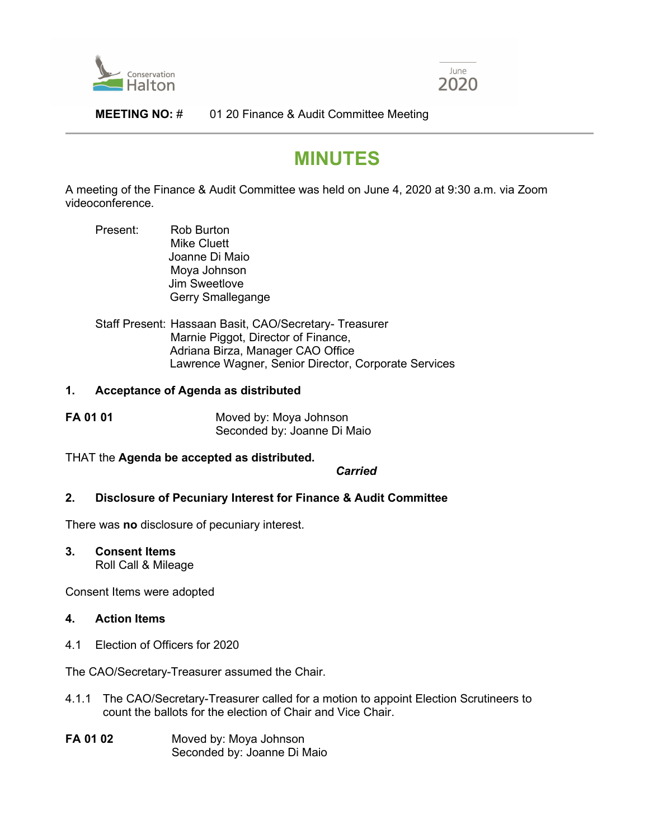



## **MEETING NO:** # 01 20 Finance & Audit Committee Meeting

# **MINUTES**

A meeting of the Finance & Audit Committee was held on June 4, 2020 at 9:30 a.m. via Zoom videoconference.

- Present: Rob Burton Mike Cluett Joanne Di Maio Moya Johnson Jim Sweetlove Gerry Smallegange
- Staff Present: Hassaan Basit, CAO/Secretary- Treasurer Marnie Piggot, Director of Finance, Adriana Birza, Manager CAO Office Lawrence Wagner, Senior Director, Corporate Services

#### **1. Acceptance of Agenda as distributed**

| FA 01 01 | Moved by: Moya Johnson      |
|----------|-----------------------------|
|          | Seconded by: Joanne Di Maio |

THAT the **Agenda be accepted as distributed.**

*Carried*

#### **2. Disclosure of Pecuniary Interest for Finance & Audit Committee**

There was **no** disclosure of pecuniary interest.

**3. Consent Items** Roll Call & Mileage

Consent Items were adopted

- **4. Action Items**
- 4.1 Election of Officers for 2020

The CAO/Secretary-Treasurer assumed the Chair.

- 4.1.1 The CAO/Secretary-Treasurer called for a motion to appoint Election Scrutineers to count the ballots for the election of Chair and Vice Chair.
- **FA 01 02** Moved by: Moya Johnson Seconded by: Joanne Di Maio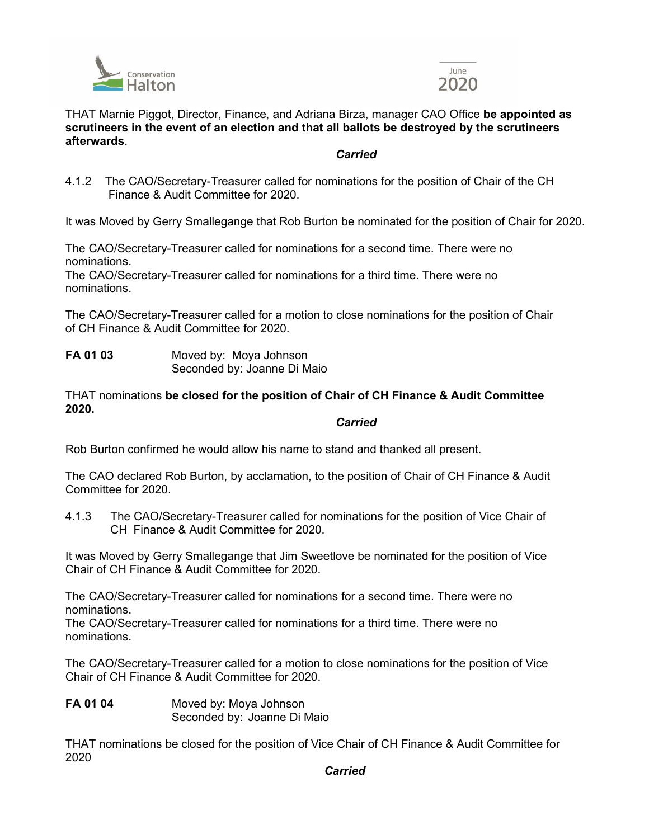



## THAT Marnie Piggot, Director, Finance, and Adriana Birza, manager CAO Office **be appointed as scrutineers in the event of an election and that all ballots be destroyed by the scrutineers afterwards**.

# *Carried*

4.1.2 The CAO/Secretary-Treasurer called for nominations for the position of Chair of the CH Finance & Audit Committee for 2020.

It was Moved by Gerry Smallegange that Rob Burton be nominated for the position of Chair for 2020.

The CAO/Secretary-Treasurer called for nominations for a second time. There were no nominations.

The CAO/Secretary-Treasurer called for nominations for a third time. There were no nominations.

The CAO/Secretary-Treasurer called for a motion to close nominations for the position of Chair of CH Finance & Audit Committee for 2020.

**FA 01 03** Moved by: Moya Johnson Seconded by: Joanne Di Maio

THAT nominations **be closed for the position of Chair of CH Finance & Audit Committee 2020.**

#### *Carried*

Rob Burton confirmed he would allow his name to stand and thanked all present.

The CAO declared Rob Burton, by acclamation, to the position of Chair of CH Finance & Audit Committee for 2020.

4.1.3 The CAO/Secretary-Treasurer called for nominations for the position of Vice Chair of CH Finance & Audit Committee for 2020.

It was Moved by Gerry Smallegange that Jim Sweetlove be nominated for the position of Vice Chair of CH Finance & Audit Committee for 2020.

The CAO/Secretary-Treasurer called for nominations for a second time. There were no nominations.

The CAO/Secretary-Treasurer called for nominations for a third time. There were no nominations.

The CAO/Secretary-Treasurer called for a motion to close nominations for the position of Vice Chair of CH Finance & Audit Committee for 2020.

**FA 01 04** Moved by: Moya Johnson Seconded by: Joanne Di Maio

THAT nominations be closed for the position of Vice Chair of CH Finance & Audit Committee for 2020